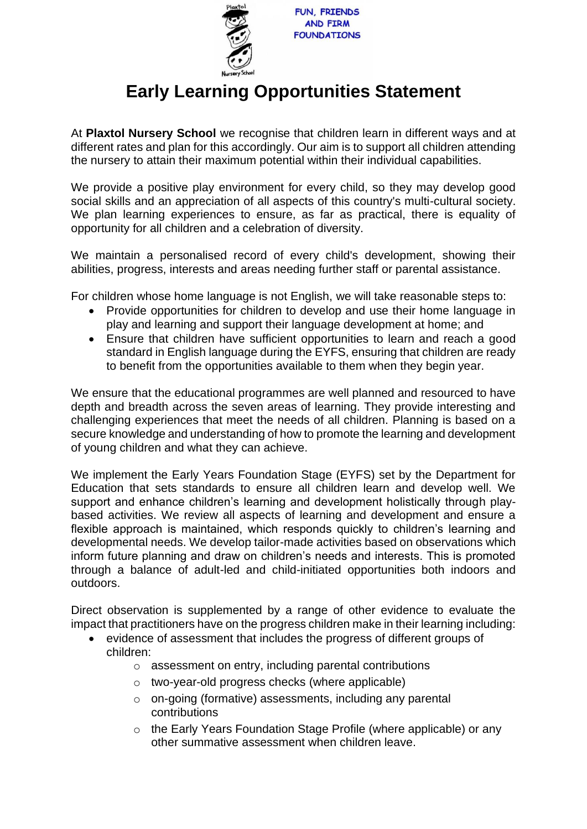

## **Early Learning Opportunities Statement**

At **Plaxtol Nursery School** we recognise that children learn in different ways and at different rates and plan for this accordingly. Our aim is to support all children attending the nursery to attain their maximum potential within their individual capabilities.

We provide a positive play environment for every child, so they may develop good social skills and an appreciation of all aspects of this country's multi-cultural society. We plan learning experiences to ensure, as far as practical, there is equality of opportunity for all children and a celebration of diversity.

We maintain a personalised record of every child's development, showing their abilities, progress, interests and areas needing further staff or parental assistance.

For children whose home language is not English, we will take reasonable steps to:

- Provide opportunities for children to develop and use their home language in play and learning and support their language development at home; and
- Ensure that children have sufficient opportunities to learn and reach a good standard in English language during the EYFS, ensuring that children are ready to benefit from the opportunities available to them when they begin year.

We ensure that the educational programmes are well planned and resourced to have depth and breadth across the seven areas of learning. They provide interesting and challenging experiences that meet the needs of all children. Planning is based on a secure knowledge and understanding of how to promote the learning and development of young children and what they can achieve.

We implement the Early Years Foundation Stage (EYFS) set by the Department for Education that sets standards to ensure all children learn and develop well. We support and enhance children's learning and development holistically through playbased activities. We review all aspects of learning and development and ensure a flexible approach is maintained, which responds quickly to children's learning and developmental needs. We develop tailor-made activities based on observations which inform future planning and draw on children's needs and interests. This is promoted through a balance of adult-led and child-initiated opportunities both indoors and outdoors.

Direct observation is supplemented by a range of other evidence to evaluate the impact that practitioners have on the progress children make in their learning including:

- evidence of assessment that includes the progress of different groups of children:
	- o assessment on entry, including parental contributions
	- o two-year-old progress checks (where applicable)
	- o on-going (formative) assessments, including any parental contributions
	- o the Early Years Foundation Stage Profile (where applicable) or any other summative assessment when children leave.